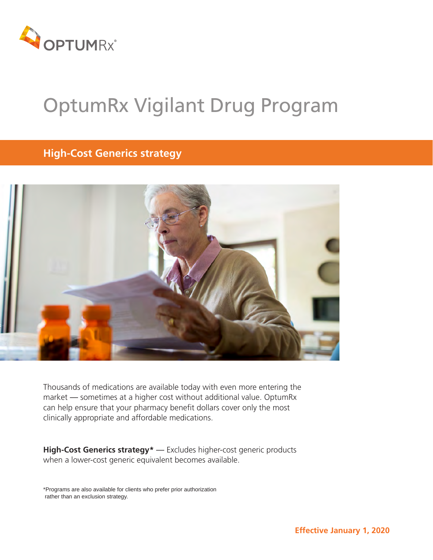

# OptumRx Vigilant Drug Program

# **High-Cost Generics strategy**



Thousands of medications are available today with even more entering the market — sometimes at a higher cost without additional value. OptumRx can help ensure that your pharmacy benefit dollars cover only the most clinically appropriate and affordable medications.

**High-Cost Generics strategy\*** — Excludes higher-cost generic products when a lower-cost generic equivalent becomes available.

\*Programs are also available for clients who prefer prior authorization rather than an exclusion strategy.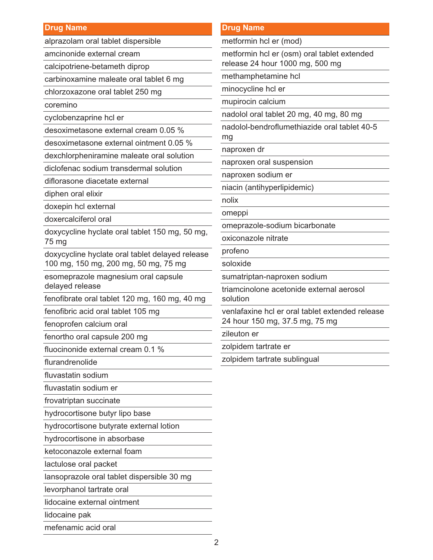#### **Drug Name**

alprazolam oral tablet dispersible

amcinonide external cream

calcipotriene-betameth diprop

carbinoxamine maleate oral tablet 6 mg

chlorzoxazone oral tablet 250 mg

coremino

cyclobenzaprine hcl er

desoximetasone external cream 0.05 %

desoximetasone external ointment 0.05 %

dexchlorpheniramine maleate oral solution

diclofenac sodium transdermal solution

diflorasone diacetate external

diphen oral elixir

doxepin hcl external

doxercalciferol oral

doxycycline hyclate oral tablet 150 mg, 50 mg, 75 mg

doxycycline hyclate oral tablet delayed release 100 mg, 150 mg, 200 mg, 50 mg, 75 mg

esomeprazole magnesium oral capsule delayed release

fenofibrate oral tablet 120 mg, 160 mg, 40 mg

fenofibric acid oral tablet 105 mg

fenoprofen calcium oral

fenortho oral capsule 200 mg

fluocinonide external cream 0.1 %

flurandrenolide

fluvastatin sodium

fluvastatin sodium er

frovatriptan succinate

hydrocortisone butyr lipo base

hydrocortisone butyrate external lotion

hydrocortisone in absorbase

ketoconazole external foam

lactulose oral packet

lansoprazole oral tablet dispersible 30 mg

levorphanol tartrate oral

lidocaine external ointment

lidocaine pak

mefenamic acid oral

#### **Drug Name**

metformin hcl er (mod)

metformin hcl er (osm) oral tablet extended release 24 hour 1000 mg, 500 mg

methamphetamine hcl

minocycline hcl er

mupirocin calcium

nadolol oral tablet 20 mg, 40 mg, 80 mg

nadolol-bendroflumethiazide oral tablet 40-5 mg

naproxen dr

naproxen oral suspension

naproxen sodium er

niacin (antihyperlipidemic)

nolix

omeppi

omeprazole-sodium bicarbonate

oxiconazole nitrate

profeno

soloxide

sumatriptan-naproxen sodium

triamcinolone acetonide external aerosol solution

venlafaxine hcl er oral tablet extended release 24 hour 150 mg, 37.5 mg, 75 mg

zileuton er

zolpidem tartrate er

zolpidem tartrate sublingual